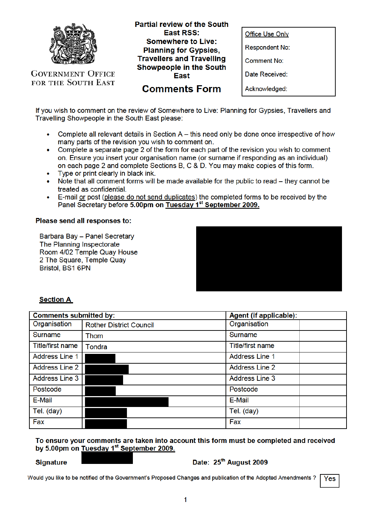

**GOVERNMENT OFFICE** FOR THE SOUTH EAST **Partial review of the South** East RSS: **Somewhere to Live: Planning for Gypsies, Travellers and Travelling Showpeople in the South East** 

**Comments Form** 

**Office Use Only Respondent No: Comment No:** Date Received: Acknowledged:

If you wish to comment on the review of Somewhere to Live: Planning for Gypsies, Travellers and Travelling Showpeople in the South East please:

- Complete all relevant details in Section A this need only be done once irrespective of how  $\bullet$ many parts of the revision you wish to comment on.
- Complete a separate page 2 of the form for each part of the revision you wish to comment  $\bullet$ on. Ensure you insert your organisation name (or surname if responding as an individual) on each page 2 and complete Sections B, C & D. You may make copies of this form.
- Type or print clearly in black ink.
- Note that all comment forms will be made available for the public to read they cannot be treated as confidential.
- E-mail or post (please do not send duplicates) the completed forms to be received by the  $\bullet$ Panel Secretary before 5.00pm on Tuesday 1<sup>st</sup> September 2009.

#### Please send all responses to:

Barbara Bay - Panel Secretary The Planning Inspectorate Room 4/02 Temple Quay House 2 The Square, Temple Quay Bristol, BS1 6PN



#### **Section A**

| <b>Comments submitted by:</b> |                                | Agent (if applicable): |
|-------------------------------|--------------------------------|------------------------|
| Organisation                  | <b>Rother District Council</b> | Organisation           |
| Surname                       | Thom                           | <b>Surname</b>         |
| <b>Title/first name</b>       | Tondra                         | Title/first name       |
| <b>Address Line 1</b>         |                                | <b>Address Line 1</b>  |
| <b>Address Line 2</b>         |                                | <b>Address Line 2</b>  |
| <b>Address Line 3</b>         |                                | <b>Address Line 3</b>  |
| Postcode                      |                                | Postcode               |
| E-Mail                        |                                | E-Mail                 |
| Tel. (day)                    |                                | Tel. (day)             |
| Fax                           |                                | Fax                    |

#### To ensure your comments are taken into account this form must be completed and received by 5.00pm on Tuesday 1st September 2009.

#### **Signature**

#### Date: 25th August 2009

Would you like to be notified of the Government's Proposed Changes and publication of the Adopted Amendments? Yes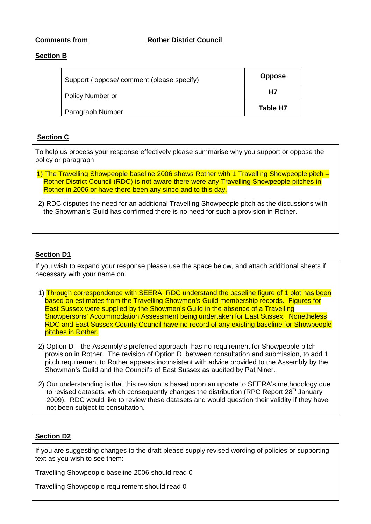# **Section B**

| Support / oppose/ comment (please specify) | <b>Oppose</b> |
|--------------------------------------------|---------------|
| Policy Number or                           | Н7            |
| Paragraph Number                           | Table H7      |

# **Section C**

To help us process your response effectively please summarise why you support or oppose the policy or paragraph

1) The Travelling Showpeople baseline 2006 shows Rother with 1 Travelling Showpeople pitch -Rother District Council (RDC) is not aware there were any Travelling Showpeople pitches in Rother in 2006 or have there been any since and to this day.

2) RDC disputes the need for an additional Travelling Showpeople pitch as the discussions with the Showman's Guild has confirmed there is no need for such a provision in Rother.

# **Section D1**

If you wish to expand your response please use the space below, and attach additional sheets if necessary with your name on.

- 1) Through correspondence with SEERA, RDC understand the baseline figure of 1 plot has been based on estimates from the Travelling Showmen's Guild membership records. Figures for East Sussex were supplied by the Showmen's Guild in the absence of a Travelling Snowpersons' Accommodation Assessment being undertaken for East Sussex. Nonetheless RDC and East Sussex County Council have no record of any existing baseline for Showpeople pitches in Rother.
- 2) Option D the Assembly's preferred approach, has no requirement for Showpeople pitch provision in Rother. The revision of Option D, between consultation and submission, to add 1 pitch requirement to Rother appears inconsistent with advice provided to the Assembly by the Showman's Guild and the Council's of East Sussex as audited by Pat Niner.
- 2) Our understanding is that this revision is based upon an update to SEERA's methodology due to revised datasets, which consequently changes the distribution (RPC Report  $28<sup>th</sup>$  January 2009). RDC would like to review these datasets and would question their validity if they have not been subject to consultation.

# **Section D2**

If you are suggesting changes to the draft please supply revised wording of policies or supporting text as you wish to see them:

Travelling Showpeople baseline 2006 should read 0

Travelling Showpeople requirement should read 0